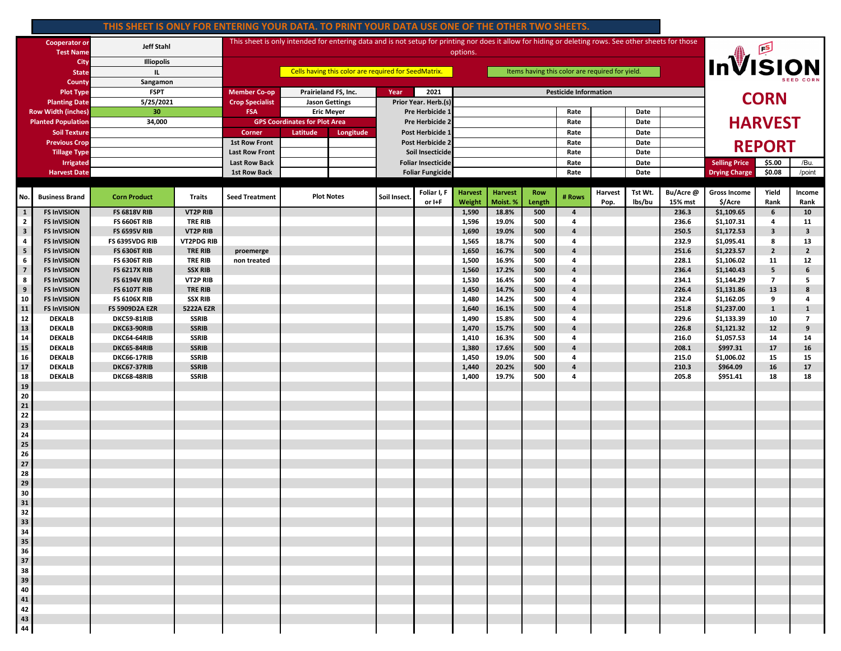## **THIS SHEET IS ONLY FOR ENTERING YOUR DATA. TO PRINT YOUR DATA USE ONE OF THE OTHER TWO SHEETS.**

| <b>Cooperator or</b><br><b>Test Name</b> |                                          | <b>Jeff Stahl</b>                            |                                    | This sheet is only intended for entering data and is not setup for printing nor does it allow for hiding or deleting rows. See other sheets for those<br>options. |                       |                       |                                               |                       |                          |                            |               |                              |                 |                   | InVISION            |                                        |                         |                         |  |
|------------------------------------------|------------------------------------------|----------------------------------------------|------------------------------------|-------------------------------------------------------------------------------------------------------------------------------------------------------------------|-----------------------|-----------------------|-----------------------------------------------|-----------------------|--------------------------|----------------------------|---------------|------------------------------|-----------------|-------------------|---------------------|----------------------------------------|-------------------------|-------------------------|--|
| City<br><b>State</b>                     |                                          | <b>Illiopolis</b><br>IL.                     |                                    | Cells having this color are required for SeedMatrix.<br>Items having this color are required for yield.                                                           |                       |                       |                                               |                       |                          |                            |               |                              |                 |                   |                     |                                        |                         |                         |  |
| County                                   |                                          | Sangamon                                     |                                    |                                                                                                                                                                   |                       |                       |                                               |                       |                          |                            |               |                              |                 |                   |                     |                                        |                         |                         |  |
|                                          | <b>Plot Type</b>                         | <b>FSPT</b>                                  |                                    | <b>Member Co-op</b>                                                                                                                                               |                       | Prairieland FS, Inc.  | 2021<br>Year                                  |                       |                          |                            |               | <b>Pesticide Information</b> |                 |                   |                     | <b>CORN</b>                            |                         |                         |  |
|                                          | <b>Planting Date</b>                     | 5/25/2021                                    |                                    | <b>Crop Specialist</b>                                                                                                                                            |                       | <b>Jason Gettings</b> | Prior Year. Herb.(s)                          |                       |                          |                            |               |                              |                 |                   |                     |                                        |                         |                         |  |
|                                          | <b>Row Width (inches)</b>                | 30                                           |                                    | <b>FSA</b><br><b>Eric Meyer</b>                                                                                                                                   |                       | Pre Herbicide 1       |                                               |                       |                          |                            | Rate          |                              | Date            |                   | <b>HARVEST</b>      |                                        |                         |                         |  |
|                                          | <b>Planted Population</b>                | 34,000                                       |                                    | <b>GPS Coordinates for Plot Area</b>                                                                                                                              |                       | Pre Herbicide 2       |                                               |                       |                          |                            | Rate          |                              | Date            |                   |                     |                                        |                         |                         |  |
| <b>Soil Texture</b>                      |                                          |                                              |                                    | Corner                                                                                                                                                            | Latitude<br>Longitude |                       | <b>Post Herbicide</b><br>Post Herbicide 2     |                       |                          |                            |               | Rate                         |                 | Date              |                     |                                        |                         |                         |  |
| <b>Previous Crop</b>                     |                                          |                                              |                                    | <b>1st Row Front</b><br><b>Last Row Front</b>                                                                                                                     |                       |                       |                                               |                       |                          |                            |               | Rate<br>Rate                 |                 | Date<br>Date      |                     | <b>REPORT</b>                          |                         |                         |  |
| <b>Tillage Type</b>                      |                                          |                                              |                                    | <b>Last Row Back</b>                                                                                                                                              |                       |                       | Soil Insecticide<br><b>Foliar Insecticide</b> |                       |                          |                            |               | Rate                         |                 | Date              |                     | <b>Selling Price</b><br>/Bu.<br>\$5.00 |                         |                         |  |
| <b>Irrigated</b><br><b>Harvest Date</b>  |                                          |                                              |                                    | <b>1st Row Back</b>                                                                                                                                               |                       |                       | <b>Foliar Fungicide</b>                       |                       |                          |                            |               | Rate                         |                 | Date              |                     | <b>Drying Charge</b>                   | \$0.08                  | /point                  |  |
|                                          |                                          |                                              |                                    |                                                                                                                                                                   |                       |                       |                                               |                       |                          |                            |               |                              |                 |                   |                     |                                        |                         |                         |  |
| No.                                      | <b>Business Brand</b>                    | <b>Corn Product</b>                          | <b>Traits</b>                      | <b>Seed Treatment</b>                                                                                                                                             | <b>Plot Notes</b>     |                       | Soil Insect.                                  | Foliar I, F<br>or I+F | <b>Harvest</b><br>Weight | <b>Harvest</b><br>Moist. % | Row<br>Length | # Rows                       | Harvest<br>Pop. | Tst Wt.<br>lbs/bu | Bu/Acre@<br>15% mst | <b>Gross Income</b><br>\$/Acre         | Yield<br>Rank           | Income<br>Rank          |  |
| $\mathbf{1}$                             | <b>FS InVISION</b>                       | <b>FS 6818V RIB</b>                          | <b>VT2P RIB</b>                    |                                                                                                                                                                   |                       |                       |                                               |                       | 1,590                    | 18.8%                      | 500           | $\overline{4}$               |                 |                   | 236.3               | \$1,109.65                             | 6                       | 10                      |  |
| $\overline{2}$                           | <b>FS InVISION</b>                       | <b>FS 6606T RIB</b>                          | <b>TRE RIB</b>                     |                                                                                                                                                                   |                       |                       |                                               |                       | 1,596                    | 19.0%                      | 500           | 4                            |                 |                   | 236.6               | \$1,107.31                             | 4                       | 11                      |  |
| $\mathbf{3}$                             | <b>FS InVISION</b>                       | <b>FS 6595V RIB</b>                          | <b>VT2P RIB</b>                    |                                                                                                                                                                   |                       |                       |                                               |                       | 1,690                    | 19.0%                      | 500           | $\overline{4}$               |                 |                   | 250.5               | \$1,172.53                             | $\overline{\mathbf{3}}$ | $\overline{\mathbf{3}}$ |  |
| 4                                        | <b>FS InVISION</b>                       | FS 6395VDG RIB                               | <b>VT2PDG RIB</b>                  |                                                                                                                                                                   |                       |                       |                                               |                       | 1,565                    | 18.7%                      | 500           | 4                            |                 |                   | 232.9               | \$1,095.41                             | 8                       | 13                      |  |
| ${\bf 5}$                                | <b>FS InVISION</b>                       | <b>FS 6306T RIB</b>                          | <b>TRE RIB</b>                     | proemerge                                                                                                                                                         |                       |                       |                                               |                       | 1,650                    | 16.7%                      | 500           | $\overline{a}$               |                 |                   | 251.6               | \$1,223.57                             | $\mathbf{2}$            | $\overline{2}$          |  |
| 6                                        | <b>FS InVISION</b>                       | <b>FS 6306T RIB</b>                          | <b>TRE RIB</b>                     | non treated                                                                                                                                                       |                       |                       |                                               |                       | 1,500                    | 16.9%                      | 500           | 4                            |                 |                   | 228.1               | \$1,106.02                             | 11                      | 12                      |  |
| $\overline{\mathbf{z}}$                  | <b>FS InVISION</b>                       | <b>FS 6217X RIB</b>                          | <b>SSX RIB</b>                     |                                                                                                                                                                   |                       |                       |                                               |                       | 1,560                    | 17.2%                      | 500           | $\overline{a}$               |                 |                   | 236.4               | \$1,140.43                             | 5                       | 6                       |  |
| 8                                        | <b>FS InVISION</b>                       | <b>FS 6194V RIB</b>                          | <b>VT2P RIB</b>                    |                                                                                                                                                                   |                       |                       |                                               |                       | 1,530                    | 16.4%                      | 500           | 4                            |                 |                   | 234.1               | \$1,144.29                             | $\overline{7}$          | 5                       |  |
| $\boldsymbol{9}$                         | <b>FS InVISION</b>                       | <b>FS 6107T RIB</b>                          | <b>TRE RIB</b>                     |                                                                                                                                                                   |                       |                       |                                               |                       | 1,450                    | 14.7%                      | 500           | $\overline{4}$               |                 |                   | 226.4               | \$1,131.86                             | 13                      | 8                       |  |
| 10<br>11                                 | <b>FS InVISION</b><br><b>FS InVISION</b> | <b>FS 6106X RIB</b><br><b>FS 5909D2A EZR</b> | <b>SSX RIB</b><br><b>5222A EZR</b> |                                                                                                                                                                   |                       |                       |                                               |                       | 1,480<br>1,640           | 14.2%<br>16.1%             | 500<br>500    | 4<br>$\overline{4}$          |                 |                   | 232.4<br>251.8      | \$1,162.05<br>\$1,237.00               | 9<br>$\mathbf{1}$       | 4<br>$\mathbf{1}$       |  |
| 12                                       | <b>DEKALB</b>                            | DKC59-81RIB                                  | <b>SSRIB</b>                       |                                                                                                                                                                   |                       |                       |                                               |                       | 1,490                    | 15.8%                      | 500           | 4                            |                 |                   | 229.6               | \$1,133.39                             | 10                      | $\overline{7}$          |  |
| 13                                       | <b>DEKALB</b>                            | DKC63-90RIB                                  | <b>SSRIB</b>                       |                                                                                                                                                                   |                       |                       |                                               |                       | 1,470                    | 15.7%                      | 500           | $\overline{4}$               |                 |                   | 226.8               | \$1,121.32                             | 12                      | 9                       |  |
| 14                                       | <b>DEKALB</b>                            | DKC64-64RIB                                  | <b>SSRIB</b>                       |                                                                                                                                                                   |                       |                       |                                               |                       | 1,410                    | 16.3%                      | 500           | 4                            |                 |                   | 216.0               | \$1,057.53                             | 14                      | 14                      |  |
| 15                                       | <b>DEKALB</b>                            | DKC65-84RIB                                  | <b>SSRIB</b>                       |                                                                                                                                                                   |                       |                       |                                               |                       | 1,380                    | 17.6%                      | 500           | $\overline{4}$               |                 |                   | 208.1               | \$997.31                               | 17                      | 16                      |  |
| 16                                       | <b>DEKALB</b>                            | <b>DKC66-17RIB</b>                           | <b>SSRIB</b>                       |                                                                                                                                                                   |                       |                       |                                               |                       | 1,450                    | 19.0%                      | 500           | 4                            |                 |                   | 215.0               | \$1,006.02                             | 15                      | 15                      |  |
| 17                                       | <b>DEKALB</b>                            | DKC67-37RIB                                  | <b>SSRIB</b>                       |                                                                                                                                                                   |                       |                       |                                               |                       | 1,440                    | 20.2%                      | 500           | $\overline{4}$               |                 |                   | 210.3               | \$964.09                               | 16                      | 17                      |  |
| 18                                       | <b>DEKALB</b>                            | DKC68-48RIB                                  | <b>SSRIB</b>                       |                                                                                                                                                                   |                       |                       |                                               |                       | 1,400                    | 19.7%                      | 500           | 4                            |                 |                   | 205.8               | \$951.41                               | 18                      | 18                      |  |
| 19                                       |                                          |                                              |                                    |                                                                                                                                                                   |                       |                       |                                               |                       |                          |                            |               |                              |                 |                   |                     |                                        |                         |                         |  |
| 20                                       |                                          |                                              |                                    |                                                                                                                                                                   |                       |                       |                                               |                       |                          |                            |               |                              |                 |                   |                     |                                        |                         |                         |  |
| 21                                       |                                          |                                              |                                    |                                                                                                                                                                   |                       |                       |                                               |                       |                          |                            |               |                              |                 |                   |                     |                                        |                         |                         |  |
| 22<br>23                                 |                                          |                                              |                                    |                                                                                                                                                                   |                       |                       |                                               |                       |                          |                            |               |                              |                 |                   |                     |                                        |                         |                         |  |
| 24                                       |                                          |                                              |                                    |                                                                                                                                                                   |                       |                       |                                               |                       |                          |                            |               |                              |                 |                   |                     |                                        |                         |                         |  |
| 25                                       |                                          |                                              |                                    |                                                                                                                                                                   |                       |                       |                                               |                       |                          |                            |               |                              |                 |                   |                     |                                        |                         |                         |  |
| 26                                       |                                          |                                              |                                    |                                                                                                                                                                   |                       |                       |                                               |                       |                          |                            |               |                              |                 |                   |                     |                                        |                         |                         |  |
| 27                                       |                                          |                                              |                                    |                                                                                                                                                                   |                       |                       |                                               |                       |                          |                            |               |                              |                 |                   |                     |                                        |                         |                         |  |
| 28                                       |                                          |                                              |                                    |                                                                                                                                                                   |                       |                       |                                               |                       |                          |                            |               |                              |                 |                   |                     |                                        |                         |                         |  |
| 29                                       |                                          |                                              |                                    |                                                                                                                                                                   |                       |                       |                                               |                       |                          |                            |               |                              |                 |                   |                     |                                        |                         |                         |  |
| 30                                       |                                          |                                              |                                    |                                                                                                                                                                   |                       |                       |                                               |                       |                          |                            |               |                              |                 |                   |                     |                                        |                         |                         |  |
| 31                                       |                                          |                                              |                                    |                                                                                                                                                                   |                       |                       |                                               |                       |                          |                            |               |                              |                 |                   |                     |                                        |                         |                         |  |
| 32<br>33                                 |                                          |                                              |                                    |                                                                                                                                                                   |                       |                       |                                               |                       |                          |                            |               |                              |                 |                   |                     |                                        |                         |                         |  |
| 34                                       |                                          |                                              |                                    |                                                                                                                                                                   |                       |                       |                                               |                       |                          |                            |               |                              |                 |                   |                     |                                        |                         |                         |  |
|                                          |                                          |                                              |                                    |                                                                                                                                                                   |                       |                       |                                               |                       |                          |                            |               |                              |                 |                   |                     |                                        |                         |                         |  |
| 35<br>36<br>37                           |                                          |                                              |                                    |                                                                                                                                                                   |                       |                       |                                               |                       |                          |                            |               |                              |                 |                   |                     |                                        |                         |                         |  |
|                                          |                                          |                                              |                                    |                                                                                                                                                                   |                       |                       |                                               |                       |                          |                            |               |                              |                 |                   |                     |                                        |                         |                         |  |
| 38                                       |                                          |                                              |                                    |                                                                                                                                                                   |                       |                       |                                               |                       |                          |                            |               |                              |                 |                   |                     |                                        |                         |                         |  |
| 39<br>40                                 |                                          |                                              |                                    |                                                                                                                                                                   |                       |                       |                                               |                       |                          |                            |               |                              |                 |                   |                     |                                        |                         |                         |  |
|                                          |                                          |                                              |                                    |                                                                                                                                                                   |                       |                       |                                               |                       |                          |                            |               |                              |                 |                   |                     |                                        |                         |                         |  |
| 41                                       |                                          |                                              |                                    |                                                                                                                                                                   |                       |                       |                                               |                       |                          |                            |               |                              |                 |                   |                     |                                        |                         |                         |  |
| 42                                       |                                          |                                              |                                    |                                                                                                                                                                   |                       |                       |                                               |                       |                          |                            |               |                              |                 |                   |                     |                                        |                         |                         |  |
| 43<br>44                                 |                                          |                                              |                                    |                                                                                                                                                                   |                       |                       |                                               |                       |                          |                            |               |                              |                 |                   |                     |                                        |                         |                         |  |
|                                          |                                          |                                              |                                    |                                                                                                                                                                   |                       |                       |                                               |                       |                          |                            |               |                              |                 |                   |                     |                                        |                         |                         |  |